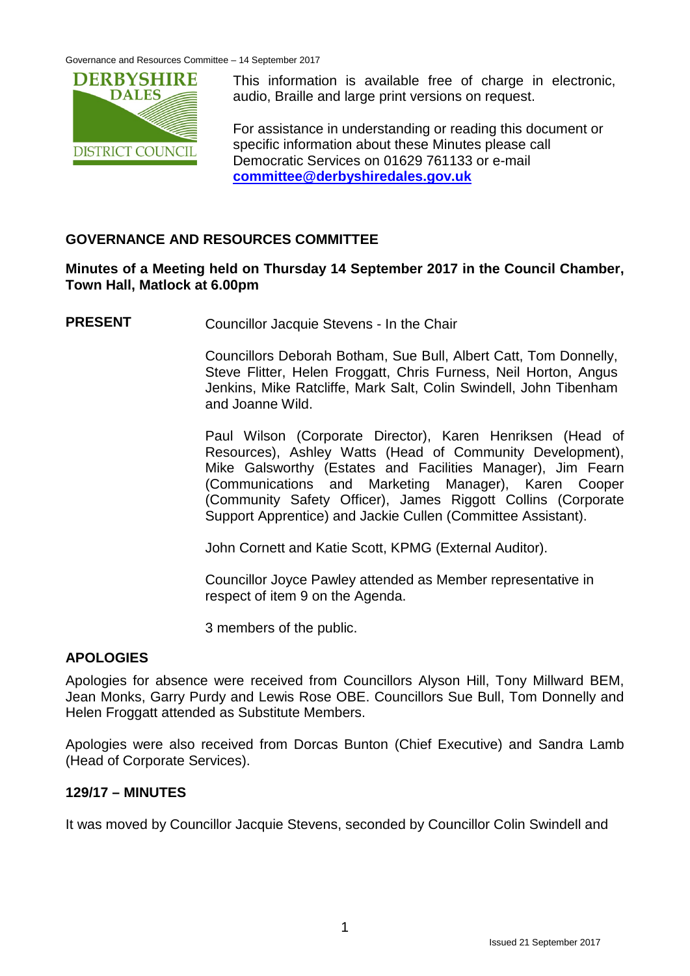

This information is available free of charge in electronic, audio, Braille and large print versions on request.

For assistance in understanding or reading this document or specific information about these Minutes please call Democratic Services on 01629 761133 or e-mail **[committee@derbyshiredales.gov.uk](mailto:committee@derbyshiredales.gov.uk)**

# **GOVERNANCE AND RESOURCES COMMITTEE**

#### **Minutes of a Meeting held on Thursday 14 September 2017 in the Council Chamber, Town Hall, Matlock at 6.00pm**

**PRESENT** Councillor Jacquie Stevens - In the Chair

Councillors Deborah Botham, Sue Bull, Albert Catt, Tom Donnelly, Steve Flitter, Helen Froggatt, Chris Furness, Neil Horton, Angus Jenkins, Mike Ratcliffe, Mark Salt, Colin Swindell, John Tibenham and Joanne Wild.

Paul Wilson (Corporate Director), Karen Henriksen (Head of Resources), Ashley Watts (Head of Community Development), Mike Galsworthy (Estates and Facilities Manager), Jim Fearn (Communications and Marketing Manager), Karen Cooper (Community Safety Officer), James Riggott Collins (Corporate Support Apprentice) and Jackie Cullen (Committee Assistant).

John Cornett and Katie Scott, KPMG (External Auditor).

Councillor Joyce Pawley attended as Member representative in respect of item 9 on the Agenda.

3 members of the public.

# **APOLOGIES**

Apologies for absence were received from Councillors Alyson Hill, Tony Millward BEM, Jean Monks, Garry Purdy and Lewis Rose OBE. Councillors Sue Bull, Tom Donnelly and Helen Froggatt attended as Substitute Members.

Apologies were also received from Dorcas Bunton (Chief Executive) and Sandra Lamb (Head of Corporate Services).

# **129/17 – MINUTES**

It was moved by Councillor Jacquie Stevens, seconded by Councillor Colin Swindell and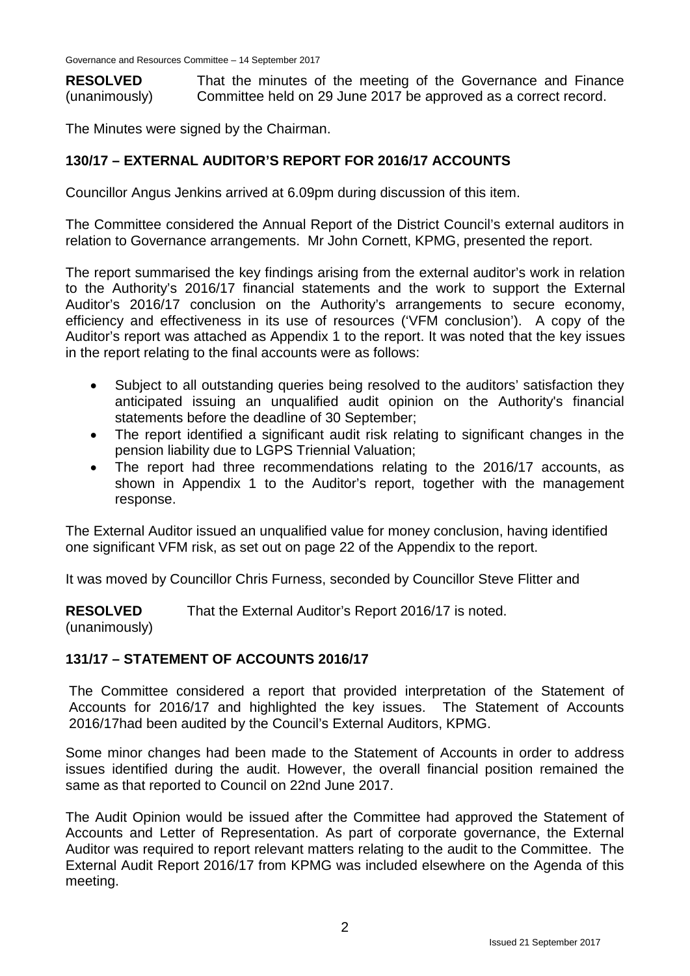**RESOLVED** (unanimously) That the minutes of the meeting of the Governance and Finance Committee held on 29 June 2017 be approved as a correct record.

The Minutes were signed by the Chairman.

# **130/17 – EXTERNAL AUDITOR'S REPORT FOR 2016/17 ACCOUNTS**

Councillor Angus Jenkins arrived at 6.09pm during discussion of this item.

The Committee considered the Annual Report of the District Council's external auditors in relation to Governance arrangements. Mr John Cornett, KPMG, presented the report.

The report summarised the key findings arising from the external auditor's work in relation to the Authority's 2016/17 financial statements and the work to support the External Auditor's 2016/17 conclusion on the Authority's arrangements to secure economy, efficiency and effectiveness in its use of resources ('VFM conclusion'). A copy of the Auditor's report was attached as Appendix 1 to the report. It was noted that the key issues in the report relating to the final accounts were as follows:

- Subject to all outstanding queries being resolved to the auditors' satisfaction they anticipated issuing an unqualified audit opinion on the Authority's financial statements before the deadline of 30 September;
- The report identified a significant audit risk relating to significant changes in the pension liability due to LGPS Triennial Valuation;
- The report had three recommendations relating to the 2016/17 accounts, as shown in Appendix 1 to the Auditor's report, together with the management response.

The External Auditor issued an unqualified value for money conclusion, having identified one significant VFM risk, as set out on page 22 of the Appendix to the report.

It was moved by Councillor Chris Furness, seconded by Councillor Steve Flitter and

**RESOLVED** That the External Auditor's Report 2016/17 is noted.

(unanimously)

#### **131/17 – STATEMENT OF ACCOUNTS 2016/17**

The Committee considered a report that provided interpretation of the Statement of Accounts for 2016/17 and highlighted the key issues. The Statement of Accounts 2016/17had been audited by the Council's External Auditors, KPMG.

Some minor changes had been made to the Statement of Accounts in order to address issues identified during the audit. However, the overall financial position remained the same as that reported to Council on 22nd June 2017.

The Audit Opinion would be issued after the Committee had approved the Statement of Accounts and Letter of Representation. As part of corporate governance, the External Auditor was required to report relevant matters relating to the audit to the Committee. The External Audit Report 2016/17 from KPMG was included elsewhere on the Agenda of this meeting.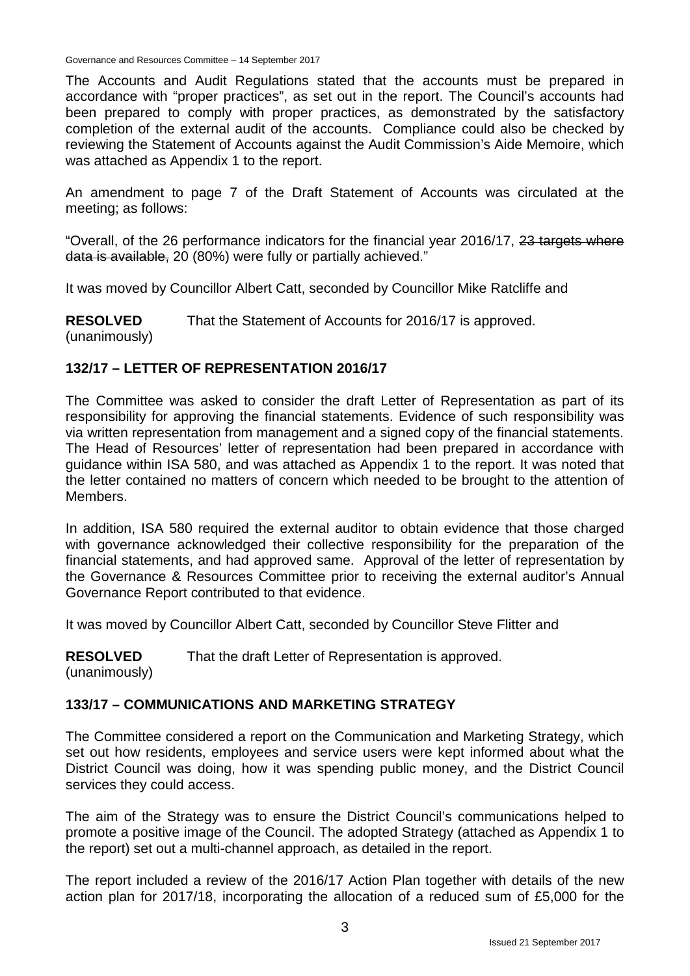The Accounts and Audit Regulations stated that the accounts must be prepared in accordance with "proper practices", as set out in the report. The Council's accounts had been prepared to comply with proper practices, as demonstrated by the satisfactory completion of the external audit of the accounts. Compliance could also be checked by reviewing the Statement of Accounts against the Audit Commission's Aide Memoire, which was attached as Appendix 1 to the report.

An amendment to page 7 of the Draft Statement of Accounts was circulated at the meeting; as follows:

"Overall, of the 26 performance indicators for the financial year 2016/17, 23 targets where data is available, 20 (80%) were fully or partially achieved."

It was moved by Councillor Albert Catt, seconded by Councillor Mike Ratcliffe and

**RESOLVED** (unanimously) That the Statement of Accounts for 2016/17 is approved.

#### **132/17 – LETTER OF REPRESENTATION 2016/17**

The Committee was asked to consider the draft Letter of Representation as part of its responsibility for approving the financial statements. Evidence of such responsibility was via written representation from management and a signed copy of the financial statements. The Head of Resources' letter of representation had been prepared in accordance with guidance within ISA 580, and was attached as Appendix 1 to the report. It was noted that the letter contained no matters of concern which needed to be brought to the attention of Members.

In addition, ISA 580 required the external auditor to obtain evidence that those charged with governance acknowledged their collective responsibility for the preparation of the financial statements, and had approved same. Approval of the letter of representation by the Governance & Resources Committee prior to receiving the external auditor's Annual Governance Report contributed to that evidence.

It was moved by Councillor Albert Catt, seconded by Councillor Steve Flitter and

**RESOLVED** That the draft Letter of Representation is approved.

(unanimously)

# **133/17 – COMMUNICATIONS AND MARKETING STRATEGY**

The Committee considered a report on the Communication and Marketing Strategy, which set out how residents, employees and service users were kept informed about what the District Council was doing, how it was spending public money, and the District Council services they could access.

The aim of the Strategy was to ensure the District Council's communications helped to promote a positive image of the Council. The adopted Strategy (attached as Appendix 1 to the report) set out a multi-channel approach, as detailed in the report.

The report included a review of the 2016/17 Action Plan together with details of the new action plan for 2017/18, incorporating the allocation of a reduced sum of £5,000 for the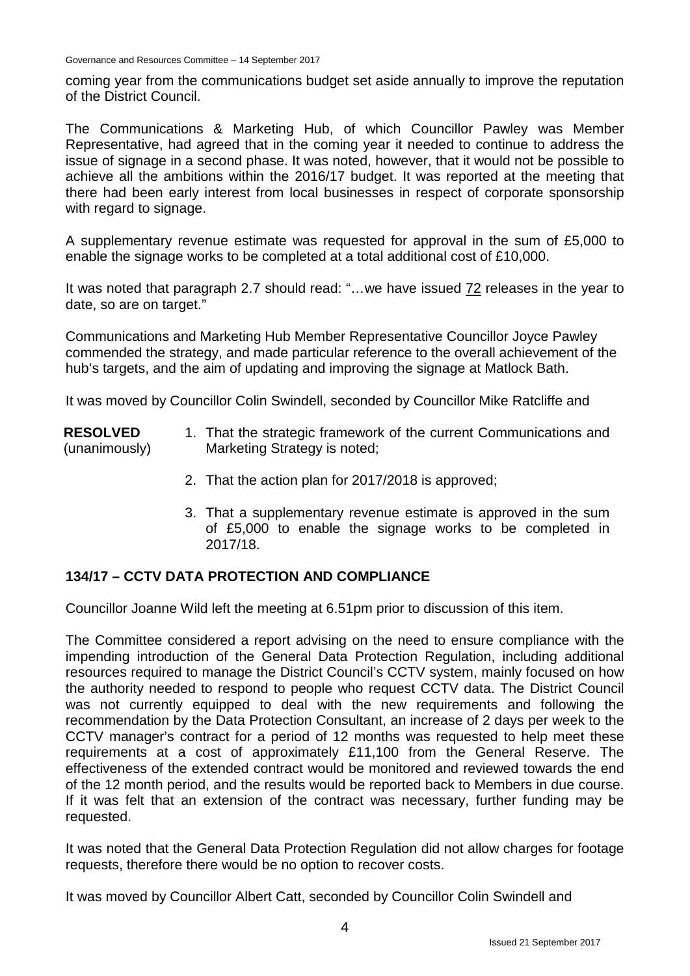coming year from the communications budget set aside annually to improve the reputation of the District Council.

The Communications & Marketing Hub, of which Councillor Pawley was Member Representative, had agreed that in the coming year it needed to continue to address the issue of signage in a second phase. It was noted, however, that it would not be possible to achieve all the ambitions within the 2016/17 budget. It was reported at the meeting that there had been early interest from local businesses in respect of corporate sponsorship with regard to signage.

A supplementary revenue estimate was requested for approval in the sum of £5,000 to enable the signage works to be completed at a total additional cost of £10,000.

It was noted that paragraph 2.7 should read: "…we have issued 72 releases in the year to date, so are on target."

Communications and Marketing Hub Member Representative Councillor Joyce Pawley commended the strategy, and made particular reference to the overall achievement of the hub's targets, and the aim of updating and improving the signage at Matlock Bath.

It was moved by Councillor Colin Swindell, seconded by Councillor Mike Ratcliffe and

#### **RESOLVED** (unanimously)

- 1. That the strategic framework of the current Communications and Marketing Strategy is noted;
	- 2. That the action plan for 2017/2018 is approved;
	- 3. That a supplementary revenue estimate is approved in the sum of £5,000 to enable the signage works to be completed in 2017/18.

# **134/17 – CCTV DATA PROTECTION AND COMPLIANCE**

Councillor Joanne Wild left the meeting at 6.51pm prior to discussion of this item.

The Committee considered a report advising on the need to ensure compliance with the impending introduction of the General Data Protection Regulation, including additional resources required to manage the District Council's CCTV system, mainly focused on how the authority needed to respond to people who request CCTV data. The District Council was not currently equipped to deal with the new requirements and following the recommendation by the Data Protection Consultant, an increase of 2 days per week to the CCTV manager's contract for a period of 12 months was requested to help meet these requirements at a cost of approximately £11,100 from the General Reserve. The effectiveness of the extended contract would be monitored and reviewed towards the end of the 12 month period, and the results would be reported back to Members in due course. If it was felt that an extension of the contract was necessary, further funding may be requested.

It was noted that the General Data Protection Regulation did not allow charges for footage requests, therefore there would be no option to recover costs.

It was moved by Councillor Albert Catt, seconded by Councillor Colin Swindell and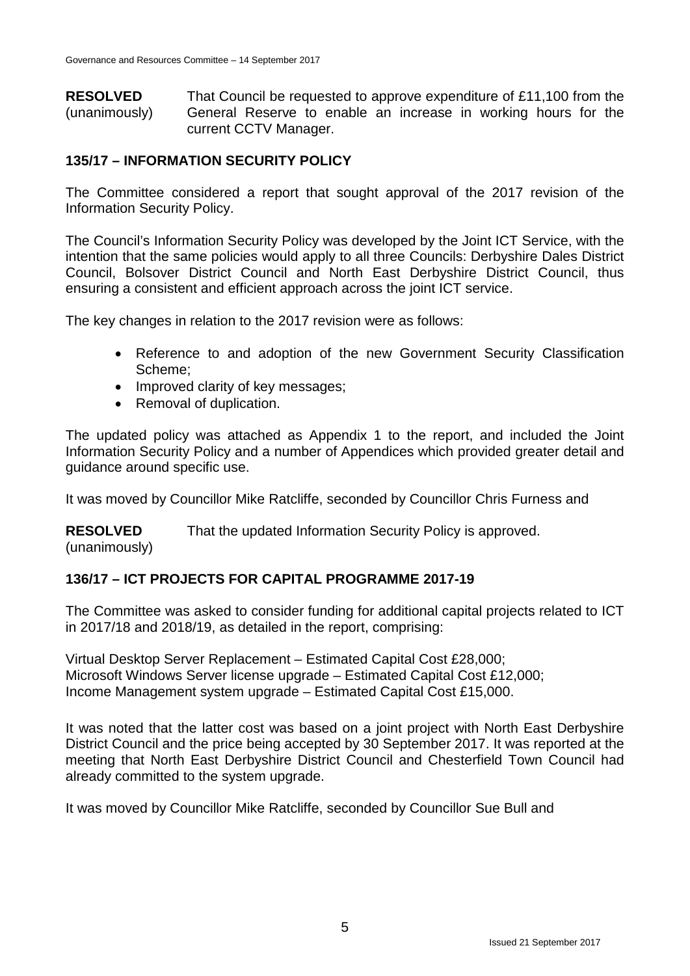**RESOLVED** (unanimously) That Council be requested to approve expenditure of £11,100 from the General Reserve to enable an increase in working hours for the current CCTV Manager.

#### **135/17 – INFORMATION SECURITY POLICY**

The Committee considered a report that sought approval of the 2017 revision of the Information Security Policy.

The Council's Information Security Policy was developed by the Joint ICT Service, with the intention that the same policies would apply to all three Councils: Derbyshire Dales District Council, Bolsover District Council and North East Derbyshire District Council, thus ensuring a consistent and efficient approach across the joint ICT service.

The key changes in relation to the 2017 revision were as follows:

- Reference to and adoption of the new Government Security Classification Scheme;
- Improved clarity of key messages;
- Removal of duplication.

The updated policy was attached as Appendix 1 to the report, and included the Joint Information Security Policy and a number of Appendices which provided greater detail and guidance around specific use.

It was moved by Councillor Mike Ratcliffe, seconded by Councillor Chris Furness and

**RESOLVED** That the updated Information Security Policy is approved.

(unanimously)

#### **136/17 – ICT PROJECTS FOR CAPITAL PROGRAMME 2017-19**

The Committee was asked to consider funding for additional capital projects related to ICT in 2017/18 and 2018/19, as detailed in the report, comprising:

Virtual Desktop Server Replacement – Estimated Capital Cost £28,000; Microsoft Windows Server license upgrade – Estimated Capital Cost £12,000; Income Management system upgrade – Estimated Capital Cost £15,000.

It was noted that the latter cost was based on a joint project with North East Derbyshire District Council and the price being accepted by 30 September 2017. It was reported at the meeting that North East Derbyshire District Council and Chesterfield Town Council had already committed to the system upgrade.

It was moved by Councillor Mike Ratcliffe, seconded by Councillor Sue Bull and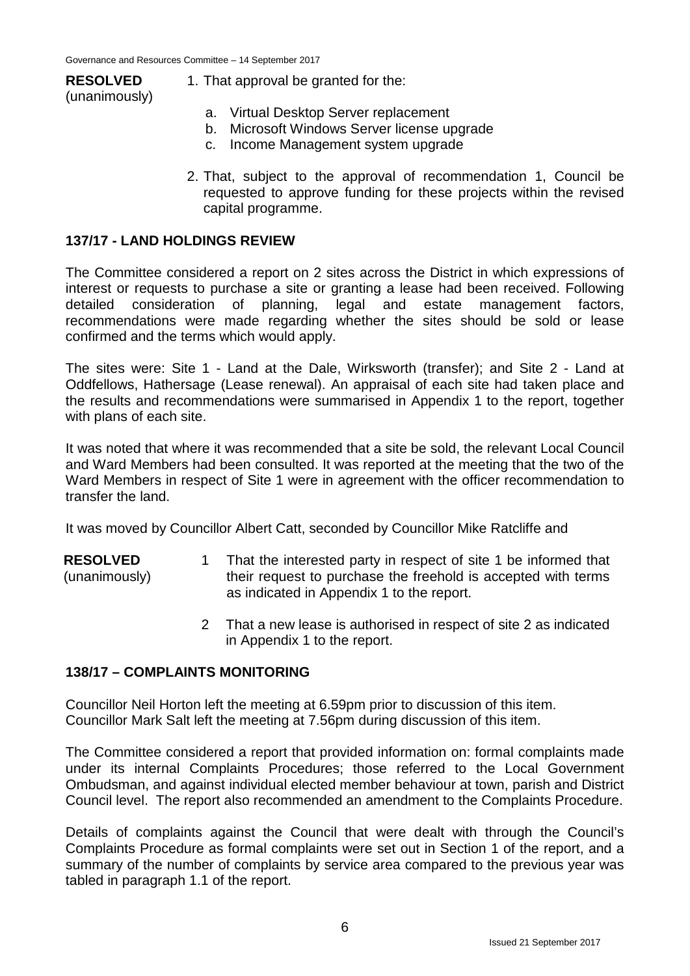#### **RESOLVED** (unanimously)

- 1. That approval be granted for the:
	- a. Virtual Desktop Server replacement
	- b. Microsoft Windows Server license upgrade
	- c. Income Management system upgrade
- 2. That, subject to the approval of recommendation 1, Council be requested to approve funding for these projects within the revised capital programme.

#### **137/17 - LAND HOLDINGS REVIEW**

The Committee considered a report on 2 sites across the District in which expressions of interest or requests to purchase a site or granting a lease had been received. Following detailed consideration of planning, legal and estate management factors, recommendations were made regarding whether the sites should be sold or lease confirmed and the terms which would apply.

The sites were: Site 1 - Land at the Dale, Wirksworth (transfer); and Site 2 - Land at Oddfellows, Hathersage (Lease renewal). An appraisal of each site had taken place and the results and recommendations were summarised in Appendix 1 to the report, together with plans of each site.

It was noted that where it was recommended that a site be sold, the relevant Local Council and Ward Members had been consulted. It was reported at the meeting that the two of the Ward Members in respect of Site 1 were in agreement with the officer recommendation to transfer the land.

It was moved by Councillor Albert Catt, seconded by Councillor Mike Ratcliffe and

- **RESOLVED** (unanimously) 1 That the interested party in respect of site 1 be informed that their request to purchase the freehold is accepted with terms as indicated in Appendix 1 to the report.
	- 2 That a new lease is authorised in respect of site 2 as indicated in Appendix 1 to the report.

#### **138/17 – COMPLAINTS MONITORING**

Councillor Neil Horton left the meeting at 6.59pm prior to discussion of this item. Councillor Mark Salt left the meeting at 7.56pm during discussion of this item.

The Committee considered a report that provided information on: formal complaints made under its internal Complaints Procedures; those referred to the Local Government Ombudsman, and against individual elected member behaviour at town, parish and District Council level. The report also recommended an amendment to the Complaints Procedure.

Details of complaints against the Council that were dealt with through the Council's Complaints Procedure as formal complaints were set out in Section 1 of the report, and a summary of the number of complaints by service area compared to the previous year was tabled in paragraph 1.1 of the report.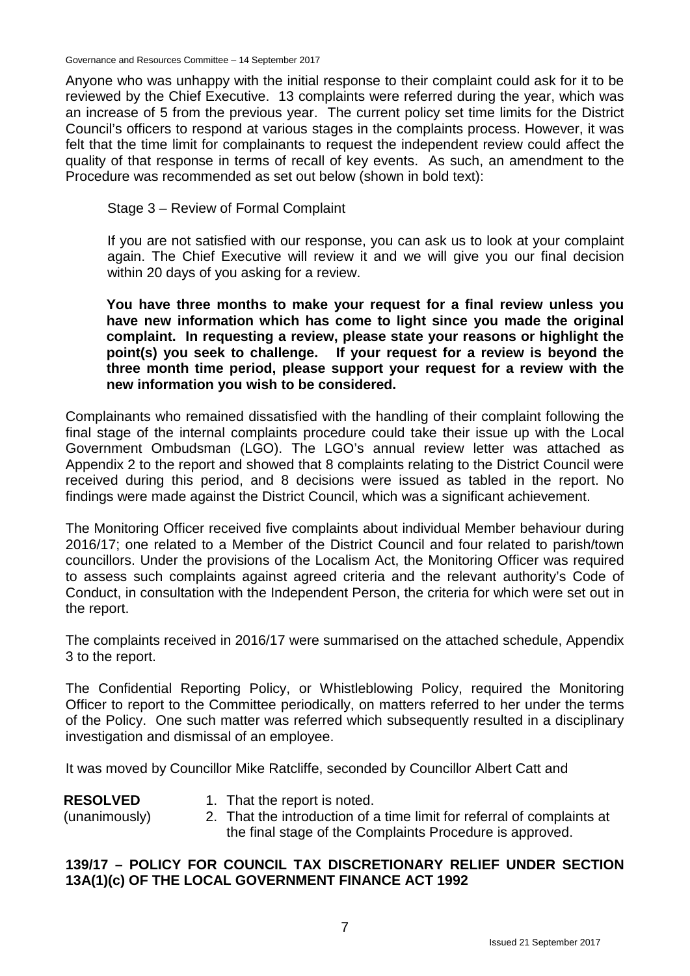Anyone who was unhappy with the initial response to their complaint could ask for it to be reviewed by the Chief Executive. 13 complaints were referred during the year, which was an increase of 5 from the previous year. The current policy set time limits for the District Council's officers to respond at various stages in the complaints process. However, it was felt that the time limit for complainants to request the independent review could affect the quality of that response in terms of recall of key events. As such, an amendment to the Procedure was recommended as set out below (shown in bold text):

Stage 3 – Review of Formal Complaint

If you are not satisfied with our response, you can ask us to look at your complaint again. The Chief Executive will review it and we will give you our final decision within 20 days of you asking for a review.

**You have three months to make your request for a final review unless you have new information which has come to light since you made the original complaint. In requesting a review, please state your reasons or highlight the point(s) you seek to challenge. If your request for a review is beyond the three month time period, please support your request for a review with the new information you wish to be considered.**

Complainants who remained dissatisfied with the handling of their complaint following the final stage of the internal complaints procedure could take their issue up with the Local Government Ombudsman (LGO). The LGO's annual review letter was attached as Appendix 2 to the report and showed that 8 complaints relating to the District Council were received during this period, and 8 decisions were issued as tabled in the report. No findings were made against the District Council, which was a significant achievement.

The Monitoring Officer received five complaints about individual Member behaviour during 2016/17; one related to a Member of the District Council and four related to parish/town councillors. Under the provisions of the Localism Act, the Monitoring Officer was required to assess such complaints against agreed criteria and the relevant authority's Code of Conduct, in consultation with the Independent Person, the criteria for which were set out in the report.

The complaints received in 2016/17 were summarised on the attached schedule, Appendix 3 to the report.

The Confidential Reporting Policy, or Whistleblowing Policy, required the Monitoring Officer to report to the Committee periodically, on matters referred to her under the terms of the Policy. One such matter was referred which subsequently resulted in a disciplinary investigation and dismissal of an employee.

It was moved by Councillor Mike Ratcliffe, seconded by Councillor Albert Catt and

| <b>RESOLVED</b> | 1. That the report is noted.                                           |
|-----------------|------------------------------------------------------------------------|
| (unanimously)   | 2. That the introduction of a time limit for referral of complaints at |
|                 | the final stage of the Complaints Procedure is approved.               |

# **139/17 – POLICY FOR COUNCIL TAX DISCRETIONARY RELIEF UNDER SECTION 13A(1)(c) OF THE LOCAL GOVERNMENT FINANCE ACT 1992**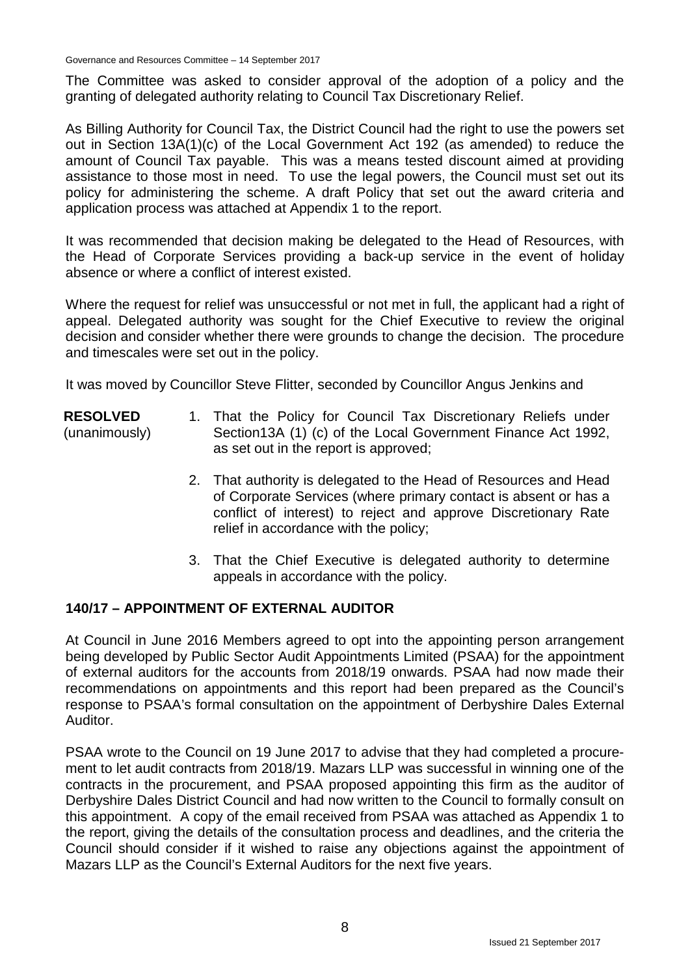The Committee was asked to consider approval of the adoption of a policy and the granting of delegated authority relating to Council Tax Discretionary Relief.

As Billing Authority for Council Tax, the District Council had the right to use the powers set out in Section 13A(1)(c) of the Local Government Act 192 (as amended) to reduce the amount of Council Tax payable. This was a means tested discount aimed at providing assistance to those most in need. To use the legal powers, the Council must set out its policy for administering the scheme. A draft Policy that set out the award criteria and application process was attached at Appendix 1 to the report.

It was recommended that decision making be delegated to the Head of Resources, with the Head of Corporate Services providing a back-up service in the event of holiday absence or where a conflict of interest existed.

Where the request for relief was unsuccessful or not met in full, the applicant had a right of appeal. Delegated authority was sought for the Chief Executive to review the original decision and consider whether there were grounds to change the decision. The procedure and timescales were set out in the policy.

It was moved by Councillor Steve Flitter, seconded by Councillor Angus Jenkins and

- **RESOLVED** (unanimously) 1. That the Policy for Council Tax Discretionary Reliefs under Section13A (1) (c) of the Local Government Finance Act 1992, as set out in the report is approved;
	- 2. That authority is delegated to the Head of Resources and Head of Corporate Services (where primary contact is absent or has a conflict of interest) to reject and approve Discretionary Rate relief in accordance with the policy;
	- 3. That the Chief Executive is delegated authority to determine appeals in accordance with the policy.

# **140/17 – APPOINTMENT OF EXTERNAL AUDITOR**

At Council in June 2016 Members agreed to opt into the appointing person arrangement being developed by Public Sector Audit Appointments Limited (PSAA) for the appointment of external auditors for the accounts from 2018/19 onwards. PSAA had now made their recommendations on appointments and this report had been prepared as the Council's response to PSAA's formal consultation on the appointment of Derbyshire Dales External Auditor.

PSAA wrote to the Council on 19 June 2017 to advise that they had completed a procurement to let audit contracts from 2018/19. Mazars LLP was successful in winning one of the contracts in the procurement, and PSAA proposed appointing this firm as the auditor of Derbyshire Dales District Council and had now written to the Council to formally consult on this appointment. A copy of the email received from PSAA was attached as Appendix 1 to the report, giving the details of the consultation process and deadlines, and the criteria the Council should consider if it wished to raise any objections against the appointment of Mazars LLP as the Council's External Auditors for the next five years.